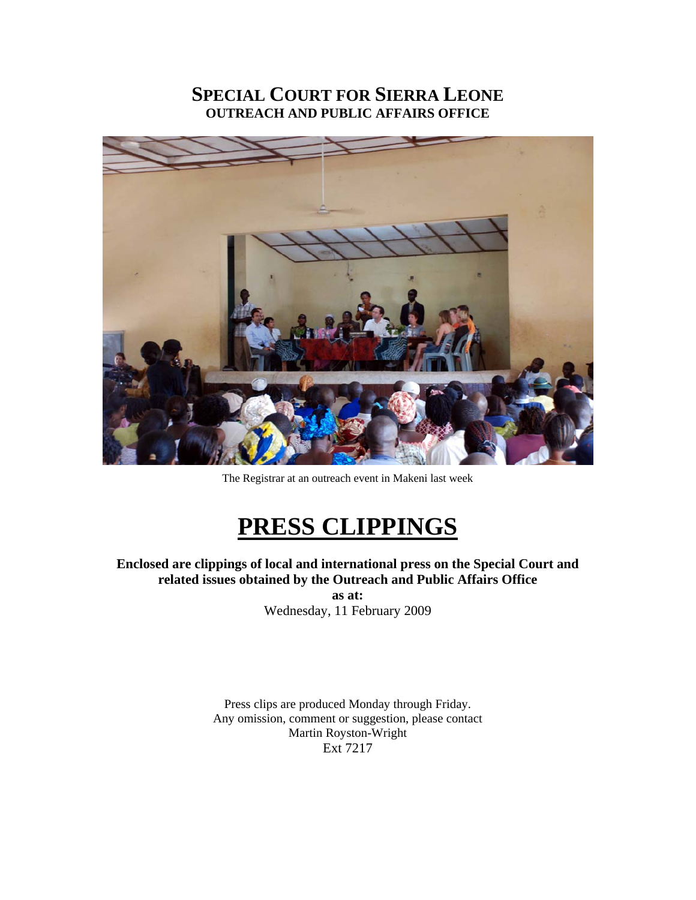## **SPECIAL COURT FOR SIERRA LEONE OUTREACH AND PUBLIC AFFAIRS OFFICE**



The Registrar at an outreach event in Makeni last week

## **PRESS CLIPPINGS**

**Enclosed are clippings of local and international press on the Special Court and related issues obtained by the Outreach and Public Affairs Office** 

**as at:**  Wednesday, 11 February 2009

Press clips are produced Monday through Friday. Any omission, comment or suggestion, please contact Martin Royston-Wright Ext 7217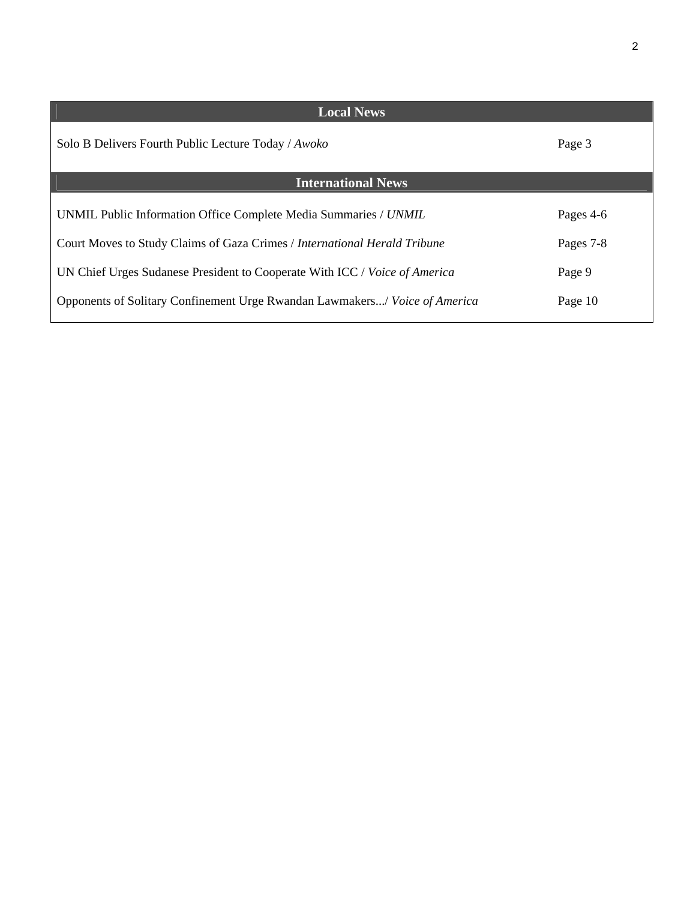| <b>Local News</b>                                                          |           |
|----------------------------------------------------------------------------|-----------|
| Solo B Delivers Fourth Public Lecture Today / Awoko                        | Page 3    |
| <b>International News</b>                                                  |           |
| UNMIL Public Information Office Complete Media Summaries / UNMIL           | Pages 4-6 |
| Court Moves to Study Claims of Gaza Crimes / International Herald Tribune  | Pages 7-8 |
| UN Chief Urges Sudanese President to Cooperate With ICC / Voice of America | Page 9    |
| Opponents of Solitary Confinement Urge Rwandan Lawmakers/ Voice of America | Page 10   |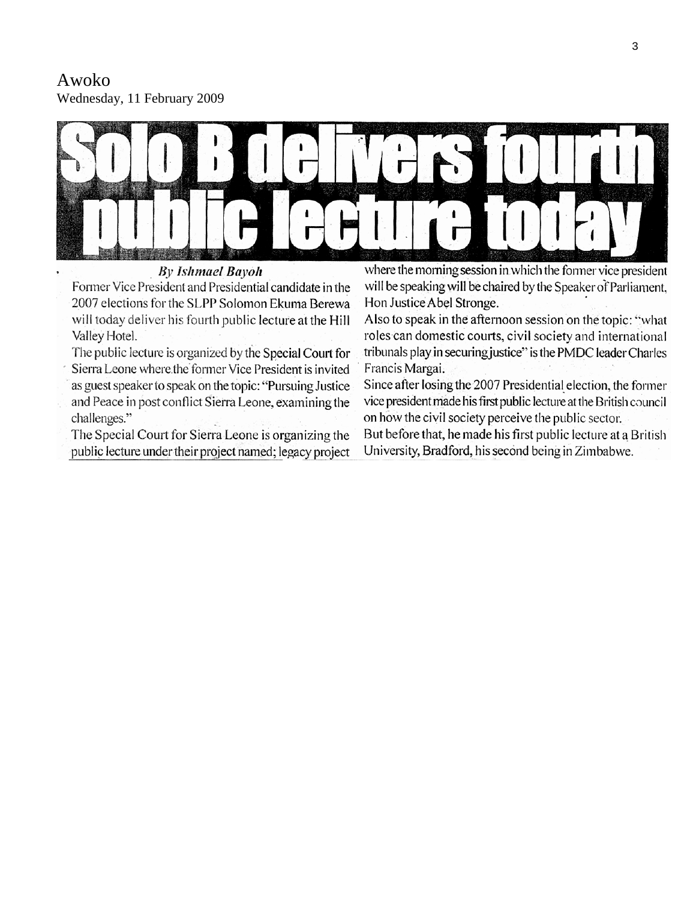Awoko Wednesday, 11 February 2009



#### **By Ishmael Bayoh**

Former Vice President and Presidential candidate in the 2007 elections for the SLPP Solomon Ekuma Berewa will today deliver his fourth public lecture at the Hill Valley Hotel.

The public lecture is organized by the Special Court for Sierra Leone where the former Vice President is invited as guest speaker to speak on the topic: "Pursuing Justice" and Peace in post conflict Sierra Leone, examining the challenges."

The Special Court for Sierra Leone is organizing the public lecture under their project named; legacy project where the morning session in which the former vice president will be speaking will be chaired by the Speaker of Parliament, Hon Justice Abel Stronge.

Also to speak in the afternoon session on the topic: "what roles can domestic courts, civil society and international tribunals play in securing justice" is the PMDC leader Charles Francis Margai.

Since after losing the 2007 Presidential election, the former vice president made his first public lecture at the British council on how the civil society perceive the public sector.

But before that, he made his first public lecture at a British University, Bradford, his second being in Zimbabwe.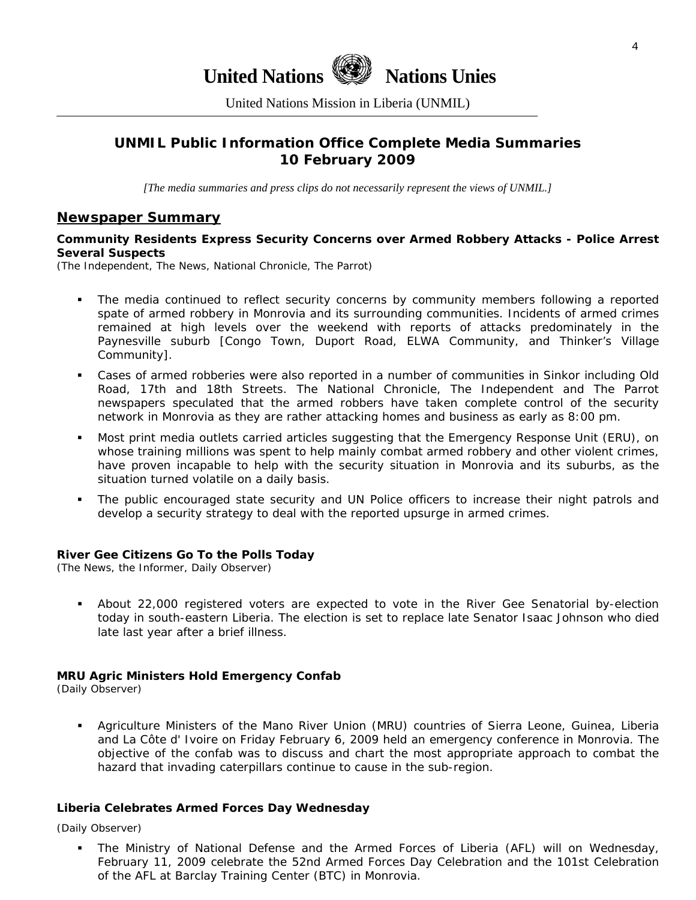# **United Nations We Nations Unies**

United Nations Mission in Liberia (UNMIL)

## **UNMIL Public Information Office Complete Media Summaries 10 February 2009**

*[The media summaries and press clips do not necessarily represent the views of UNMIL.]* 

#### **Newspaper Summary**

#### **Community Residents Express Security Concerns over Armed Robbery Attacks - Police Arrest Several Suspects**

(The Independent, The News, National Chronicle, The Parrot)

- The media continued to reflect security concerns by community members following a reported spate of armed robbery in Monrovia and its surrounding communities. Incidents of armed crimes remained at high levels over the weekend with reports of attacks predominately in the Paynesville suburb [Congo Town, Duport Road, ELWA Community, and Thinker's Village Community].
- Cases of armed robberies were also reported in a number of communities in Sinkor including Old Road, 17th and 18th Streets. The National Chronicle, The Independent and The Parrot newspapers speculated that the armed robbers have taken complete control of the security network in Monrovia as they are rather attacking homes and business as early as 8:00 pm.
- Most print media outlets carried articles suggesting that the Emergency Response Unit (ERU), on whose training millions was spent to help mainly combat armed robbery and other violent crimes, have proven incapable to help with the security situation in Monrovia and its suburbs, as the situation turned volatile on a daily basis.
- The public encouraged state security and UN Police officers to increase their night patrols and develop a security strategy to deal with the reported upsurge in armed crimes.

#### **River Gee Citizens Go To the Polls Today**

(The News, the Informer, Daily Observer)

 About 22,000 registered voters are expected to vote in the River Gee Senatorial by-election today in south-eastern Liberia. The election is set to replace late Senator Isaac Johnson who died late last year after a brief illness.

#### **MRU Agric Ministers Hold Emergency Confab**

(Daily Observer)

 Agriculture Ministers of the Mano River Union (MRU) countries of Sierra Leone, Guinea, Liberia and La Côte d' Ivoire on Friday February 6, 2009 held an emergency conference in Monrovia. The objective of the confab was to discuss and chart the most appropriate approach to combat the hazard that invading caterpillars continue to cause in the sub-region.

#### **Liberia Celebrates Armed Forces Day Wednesday**

(Daily Observer)

 The Ministry of National Defense and the Armed Forces of Liberia (AFL) will on Wednesday, February 11, 2009 celebrate the 52nd Armed Forces Day Celebration and the 101st Celebration of the AFL at Barclay Training Center (BTC) in Monrovia.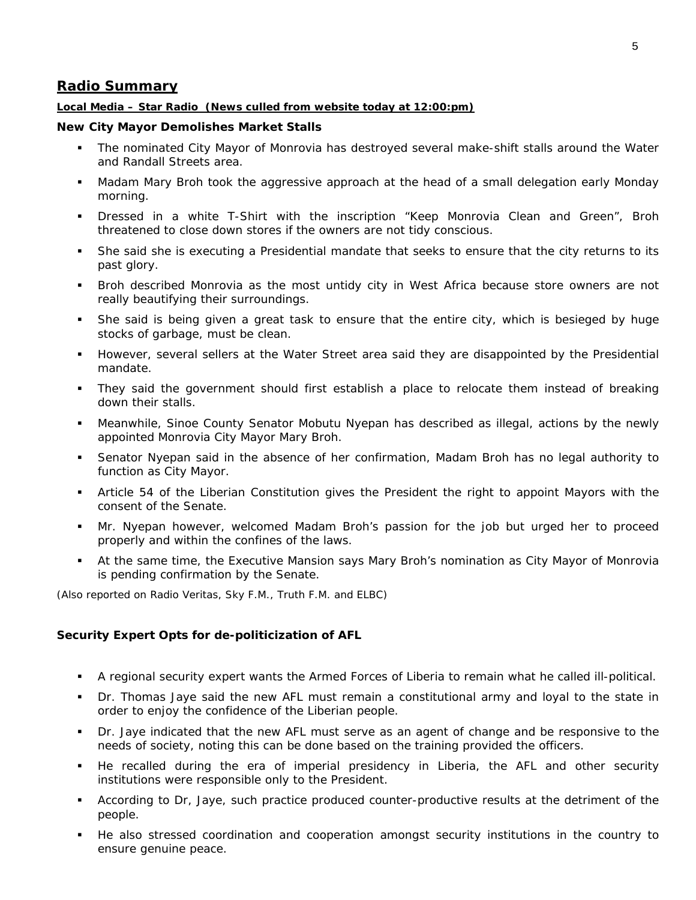## **Radio Summary**

#### **Local Media – Star Radio (News culled from website today at 12:00:pm)**

#### **New City Mayor Demolishes Market Stalls**

- The nominated City Mayor of Monrovia has destroyed several make-shift stalls around the Water and Randall Streets area.
- Madam Mary Broh took the aggressive approach at the head of a small delegation early Monday morning.
- Dressed in a white T-Shirt with the inscription "Keep Monrovia Clean and Green", Broh threatened to close down stores if the owners are not tidy conscious.
- She said she is executing a Presidential mandate that seeks to ensure that the city returns to its past glory.
- Broh described Monrovia as the most untidy city in West Africa because store owners are not really beautifying their surroundings.
- She said is being given a great task to ensure that the entire city, which is besieged by huge stocks of garbage, must be clean.
- However, several sellers at the Water Street area said they are disappointed by the Presidential mandate.
- They said the government should first establish a place to relocate them instead of breaking down their stalls.
- Meanwhile, Sinoe County Senator Mobutu Nyepan has described as illegal, actions by the newly appointed Monrovia City Mayor Mary Broh.
- Senator Nyepan said in the absence of her confirmation, Madam Broh has no legal authority to function as City Mayor.
- Article 54 of the Liberian Constitution gives the President the right to appoint Mayors with the consent of the Senate.
- Mr. Nyepan however, welcomed Madam Broh's passion for the job but urged her to proceed properly and within the confines of the laws.
- At the same time, the Executive Mansion says Mary Broh's nomination as City Mayor of Monrovia is pending confirmation by the Senate.

*(Also reported on Radio Veritas, Sky F.M., Truth F.M. and ELBC)* 

#### **Security Expert Opts for de-politicization of AFL**

- A regional security expert wants the Armed Forces of Liberia to remain what he called ill-political.
- Dr. Thomas Jaye said the new AFL must remain a constitutional army and loyal to the state in order to enjoy the confidence of the Liberian people.
- Dr. Jaye indicated that the new AFL must serve as an agent of change and be responsive to the needs of society, noting this can be done based on the training provided the officers.
- He recalled during the era of imperial presidency in Liberia, the AFL and other security institutions were responsible only to the President.
- According to Dr, Jaye, such practice produced counter-productive results at the detriment of the people.
- He also stressed coordination and cooperation amongst security institutions in the country to ensure genuine peace.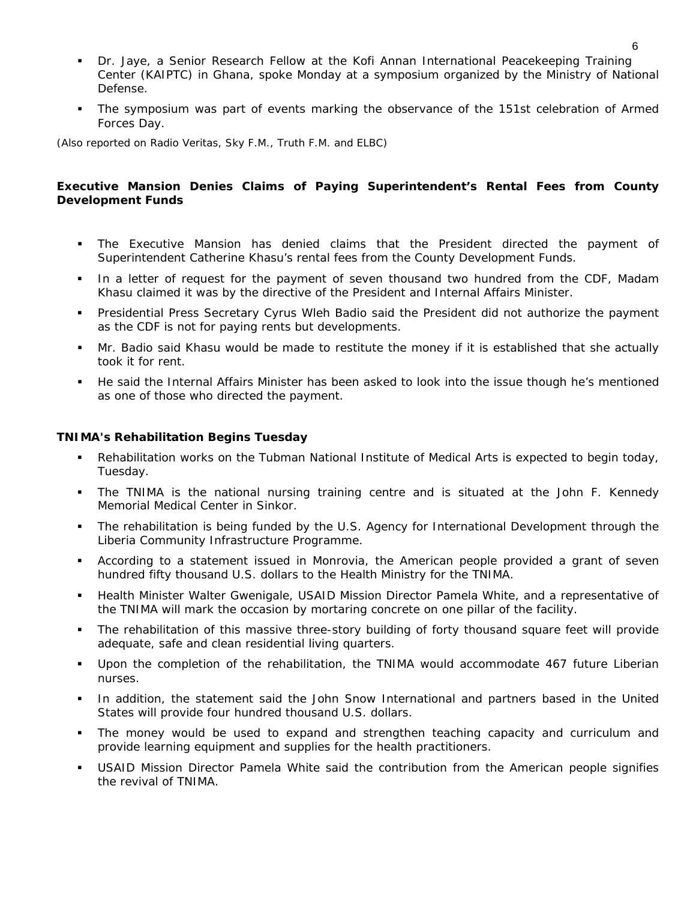- Dr. Jaye, a Senior Research Fellow at the Kofi Annan International Peacekeeping Training Center (KAIPTC) in Ghana, spoke Monday at a symposium organized by the Ministry of National Defense.
- The symposium was part of events marking the observance of the 151st celebration of Armed Forces Day.

*(Also reported on Radio Veritas, Sky F.M., Truth F.M. and ELBC)* 

#### **Executive Mansion Denies Claims of Paying Superintendent's Rental Fees from County Development Funds**

- The Executive Mansion has denied claims that the President directed the payment of Superintendent Catherine Khasu's rental fees from the County Development Funds.
- In a letter of request for the payment of seven thousand two hundred from the CDF, Madam Khasu claimed it was by the directive of the President and Internal Affairs Minister.
- Presidential Press Secretary Cyrus Wleh Badio said the President did not authorize the payment as the CDF is not for paying rents but developments.
- Mr. Badio said Khasu would be made to restitute the money if it is established that she actually took it for rent.
- He said the Internal Affairs Minister has been asked to look into the issue though he's mentioned as one of those who directed the payment.

#### **TNIMA's Rehabilitation Begins Tuesday**

- Rehabilitation works on the Tubman National Institute of Medical Arts is expected to begin today, Tuesday.
- The TNIMA is the national nursing training centre and is situated at the John F. Kennedy Memorial Medical Center in Sinkor.
- The rehabilitation is being funded by the U.S. Agency for International Development through the Liberia Community Infrastructure Programme.
- According to a statement issued in Monrovia, the American people provided a grant of seven hundred fifty thousand U.S. dollars to the Health Ministry for the TNIMA.
- Health Minister Walter Gwenigale, USAID Mission Director Pamela White, and a representative of the TNIMA will mark the occasion by mortaring concrete on one pillar of the facility.
- The rehabilitation of this massive three-story building of forty thousand square feet will provide adequate, safe and clean residential living quarters.
- Upon the completion of the rehabilitation, the TNIMA would accommodate 467 future Liberian nurses.
- In addition, the statement said the John Snow International and partners based in the United States will provide four hundred thousand U.S. dollars.
- The money would be used to expand and strengthen teaching capacity and curriculum and provide learning equipment and supplies for the health practitioners.
- USAID Mission Director Pamela White said the contribution from the American people signifies the revival of TNIMA.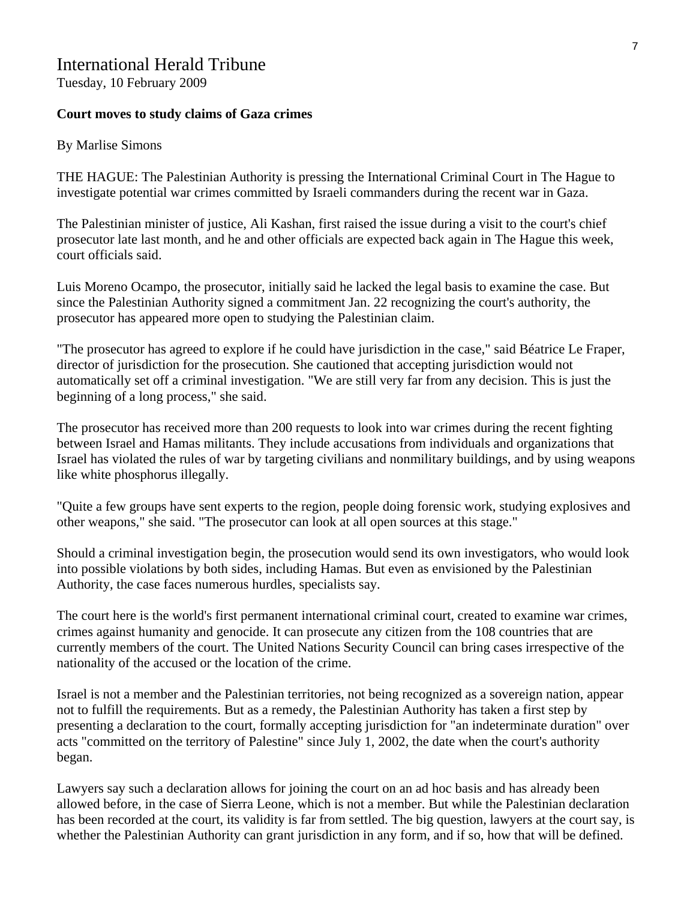## International Herald Tribune

Tuesday, 10 February 2009

#### **Court moves to study claims of Gaza crimes**

#### By Marlise Simons

THE HAGUE: The Palestinian Authority is pressing the International Criminal Court in The Hague to investigate potential war crimes committed by Israeli commanders during the recent war in Gaza.

The Palestinian minister of justice, Ali Kashan, first raised the issue during a visit to the court's chief prosecutor late last month, and he and other officials are expected back again in The Hague this week, court officials said.

Luis Moreno Ocampo, the prosecutor, initially said he lacked the legal basis to examine the case. But since the Palestinian Authority signed a commitment Jan. 22 recognizing the court's authority, the prosecutor has appeared more open to studying the Palestinian claim.

"The prosecutor has agreed to explore if he could have jurisdiction in the case," said Béatrice Le Fraper, director of jurisdiction for the prosecution. She cautioned that accepting jurisdiction would not automatically set off a criminal investigation. "We are still very far from any decision. This is just the beginning of a long process," she said.

The prosecutor has received more than 200 requests to look into war crimes during the recent fighting between Israel and Hamas militants. They include accusations from individuals and organizations that Israel has violated the rules of war by targeting civilians and nonmilitary buildings, and by using weapons like white phosphorus illegally.

"Quite a few groups have sent experts to the region, people doing forensic work, studying explosives and other weapons," she said. "The prosecutor can look at all open sources at this stage."

Should a criminal investigation begin, the prosecution would send its own investigators, who would look into possible violations by both sides, including Hamas. But even as envisioned by the Palestinian Authority, the case faces numerous hurdles, specialists say.

The court here is the world's first permanent international criminal court, created to examine war crimes, crimes against humanity and genocide. It can prosecute any citizen from the 108 countries that are currently members of the court. The United Nations Security Council can bring cases irrespective of the nationality of the accused or the location of the crime.

Israel is not a member and the Palestinian territories, not being recognized as a sovereign nation, appear not to fulfill the requirements. But as a remedy, the Palestinian Authority has taken a first step by presenting a declaration to the court, formally accepting jurisdiction for "an indeterminate duration" over acts "committed on the territory of Palestine" since July 1, 2002, the date when the court's authority began.

Lawyers say such a declaration allows for joining the court on an ad hoc basis and has already been allowed before, in the case of Sierra Leone, which is not a member. But while the Palestinian declaration has been recorded at the court, its validity is far from settled. The big question, lawyers at the court say, is whether the Palestinian Authority can grant jurisdiction in any form, and if so, how that will be defined.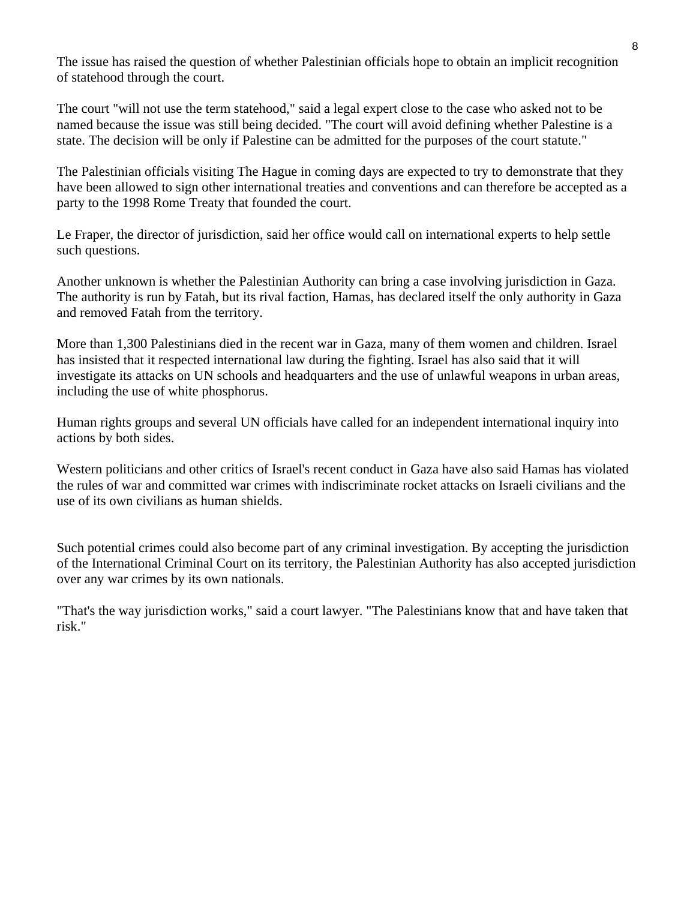The issue has raised the question of whether Palestinian officials hope to obtain an implicit recognition of statehood through the court.

The court "will not use the term statehood," said a legal expert close to the case who asked not to be named because the issue was still being decided. "The court will avoid defining whether Palestine is a state. The decision will be only if Palestine can be admitted for the purposes of the court statute."

The Palestinian officials visiting The Hague in coming days are expected to try to demonstrate that they have been allowed to sign other international treaties and conventions and can therefore be accepted as a party to the 1998 Rome Treaty that founded the court.

Le Fraper, the director of jurisdiction, said her office would call on international experts to help settle such questions.

Another unknown is whether the Palestinian Authority can bring a case involving jurisdiction in Gaza. The authority is run by Fatah, but its rival faction, Hamas, has declared itself the only authority in Gaza and removed Fatah from the territory.

More than 1,300 Palestinians died in the recent war in Gaza, many of them women and children. Israel has insisted that it respected international law during the fighting. Israel has also said that it will investigate its attacks on UN schools and headquarters and the use of unlawful weapons in urban areas, including the use of white phosphorus.

Human rights groups and several UN officials have called for an independent international inquiry into actions by both sides.

Western politicians and other critics of Israel's recent conduct in Gaza have also said Hamas has violated the rules of war and committed war crimes with indiscriminate rocket attacks on Israeli civilians and the use of its own civilians as human shields.

Such potential crimes could also become part of any criminal investigation. By accepting the jurisdiction of the International Criminal Court on its territory, the Palestinian Authority has also accepted jurisdiction over any war crimes by its own nationals.

"That's the way jurisdiction works," said a court lawyer. "The Palestinians know that and have taken that risk."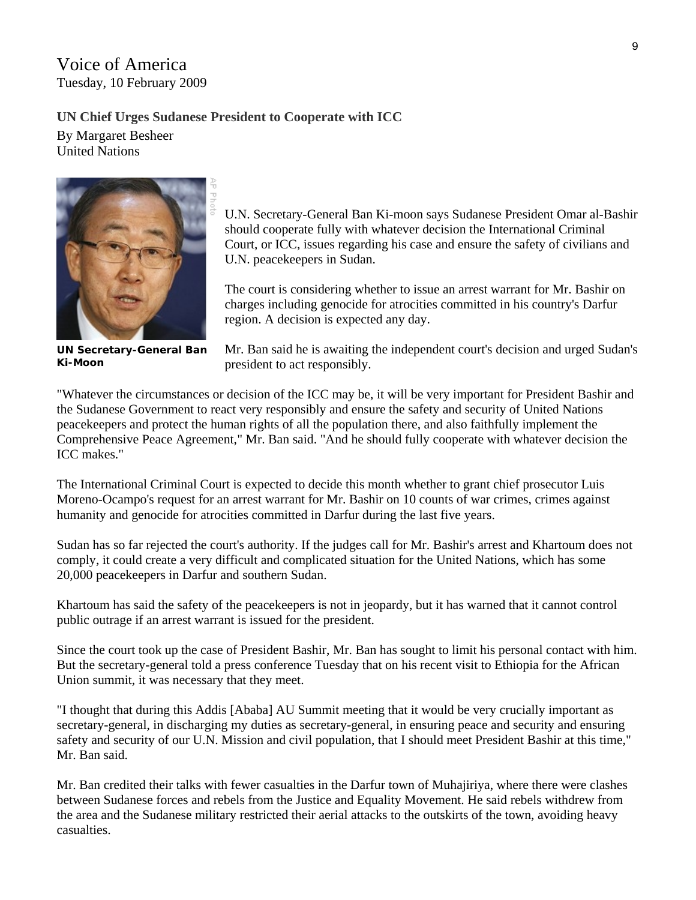## Voice of America Tuesday, 10 February 2009

### **UN Chief Urges Sudanese President to Cooperate with ICC**

By Margaret Besheer United Nations



**UN Secretary-General Ban Ki-Moon** 

U.N. Secretary-General Ban Ki-moon says Sudanese President Omar al-Bashir should cooperate fully with whatever decision the International Criminal Court, or ICC, issues regarding his case and ensure the safety of civilians and U.N. peacekeepers in Sudan.

The court is considering whether to issue an arrest warrant for Mr. Bashir on charges including genocide for atrocities committed in his country's Darfur region. A decision is expected any day.

Mr. Ban said he is awaiting the independent court's decision and urged Sudan's president to act responsibly.

"Whatever the circumstances or decision of the ICC may be, it will be very important for President Bashir and the Sudanese Government to react very responsibly and ensure the safety and security of United Nations peacekeepers and protect the human rights of all the population there, and also faithfully implement the Comprehensive Peace Agreement," Mr. Ban said. "And he should fully cooperate with whatever decision the ICC makes."

The International Criminal Court is expected to decide this month whether to grant chief prosecutor Luis Moreno-Ocampo's request for an arrest warrant for Mr. Bashir on 10 counts of war crimes, crimes against humanity and genocide for atrocities committed in Darfur during the last five years.

Sudan has so far rejected the court's authority. If the judges call for Mr. Bashir's arrest and Khartoum does not comply, it could create a very difficult and complicated situation for the United Nations, which has some 20,000 peacekeepers in Darfur and southern Sudan.

Khartoum has said the safety of the peacekeepers is not in jeopardy, but it has warned that it cannot control public outrage if an arrest warrant is issued for the president.

Since the court took up the case of President Bashir, Mr. Ban has sought to limit his personal contact with him. But the secretary-general told a press conference Tuesday that on his recent visit to Ethiopia for the African Union summit, it was necessary that they meet.

"I thought that during this Addis [Ababa] AU Summit meeting that it would be very crucially important as secretary-general, in discharging my duties as secretary-general, in ensuring peace and security and ensuring safety and security of our U.N. Mission and civil population, that I should meet President Bashir at this time," Mr. Ban said.

Mr. Ban credited their talks with fewer casualties in the Darfur town of Muhajiriya, where there were clashes between Sudanese forces and rebels from the Justice and Equality Movement. He said rebels withdrew from the area and the Sudanese military restricted their aerial attacks to the outskirts of the town, avoiding heavy casualties.